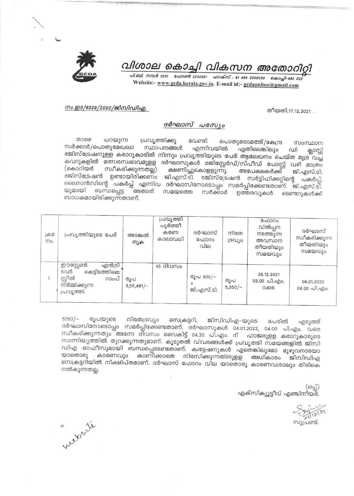

# വിശാല കൊച്ചി വികസന അതോറ്

പി.ബി. നമ്പർ 2012 - ഫോൺ 2205061 - ഫാക്സ് : 91 484 2206230 - കൊച്ചി-682 020 Website:- www.gcda.kerala.gov.in. E-mail id:- gcdaonline@gmail.com

#### നം.ഇ3/6329/2020/ജിസിഡിഎ.

തീയതി.17.12.2021

### ദർഘാസ് പരസ്യം

ுலை പറയുന്ന പ്രവൃത്തിക്കു വേണ്ടി പൊതുമരാമത്ത്/കേന്ദ്ര mommom സർക്കാർ/പൊതുമേഖലാ സ്ഥാപനങ്ങൾ എന്നിവയിൽ ഏതിലെങ്കിലും ഡി ക്ലാസ്സ് രജിസ്ട്രേഷനുള്ള കരാറുകാരിൽ നിന്നും പ്രവൃത്തിയുടെ പേര് ആലേഖനം ചെയ്ത മുദ്ര വച്ച .<br>കവറുകളിൽ മത്സരസ്വഭാവമുളള ദർഘാസുകൾ രജിസ്റ്റേർഡ്/സ്പീഡ് പോസ്റ്റ് വഴി മാത്രം സ്ഥീകരിക്കുന്നതല്ല) (കൊറിയർ ക്ഷണിച്ചുകൊളളുന്നു. അപേക്ഷകർക്ക് ജി.എസ്.ടി. രജിസ്ട്രേഷൻ ഉണ്ടായിരിക്കണ്ം ജി.എസ്.ടി. രജിസ്ട്രേഷൻ സർട്ടിഫിക്കറ്റിന്റെ പകർപ്പ്, ലൈസൻസിന്റെ പകർപ്പ് എന്നിവ ദർഘാസിനോടൊപ്പം സമർപ്പിക്കേണ്ടതാണ്. ജി.എസ്.ടി. യുമായി ബന്ധപ്പെട്ട ്അതാത് സമയത്തെ സർക്കാർ ഉത്തരവുകൾ ടെണ്ടറുകൾക്ക് ബാധകമായിരിക്കുന്നതാണ്.

| L dD<br>mo. | പ്രവ്യത്തിയുടെ പേര്                                                                             | അടങ്കൽ<br>തുക       | പ്രവൃത്തി<br>പൂർത്തീ<br>കരണ<br>കാലാവധി | ദർഘാസ്<br>ഫോറം<br>വില   | നിരത<br>ദ്രവിശ   | ഫോറം<br>വിൽപ്പന<br>നടത്തുന്ന<br>അവസാന<br>തീയതിയും<br>സമയവും | ദർഘാസ്<br>സ്ഥീകരിക്കുന്ന<br>തീയതിയും<br>സമയവും |
|-------------|-------------------------------------------------------------------------------------------------|---------------------|----------------------------------------|-------------------------|------------------|-------------------------------------------------------------|------------------------------------------------|
| 1.          | ഈസ്റ്റേൺ<br>എൻട്രി<br>ടവർ<br>കെട്ടിടത്തിലെ<br>സ്റ്റീൽ<br>റാംപ്<br>നിർമ്മിക്കുന്ന<br>പ്രവ്യത്തി. | രൂപ<br>$3,55,481/-$ | $45$ ദിവസം                             | രൂപ 800/-<br>ജി.എസ്.ടി. | രൂപ<br>$5,350/-$ | 28.12.2021<br>03.00 പി.എം.<br>വരെ                           | 04.01.2022<br>$04.00 \text{ }\Omega$ . and 0.  |

 $5350/-$ രൂപയുടെ നിരതദ്രവ്യം സെക്രട്ടറി, ജിസിഡിഎ–യുടെ പേരിൽ എടുത്ത് ദർഘാസിനോടൊപ്പം സമർപ്പിക്കേണ്ടതാണ്. ദർഘാസുകൾ 04.01.2022, 04.00 പി.എം. വരെ സ്ഥീകരിക്കുന്നതും അന്നേ ദിവസം വൈകിട്ട് 04.30 പി.എം. ന് ഹാജരുളള കരാറുകാരുടെ സാന്നിദ്ധ്യത്തിൽ തുറക്കുന്നതുമാണ്. കൂടുതൽ വിവരങ്ങൾക്ക് പ്രവൃത്തി സമയങ്ങളിൽ ജിസി ഡിഎ ഓഫീസുമായി ബന്ധപ്പെടേണ്ടതാണ്. ക്വട്ടേഷനുകൾ ഏതെങ്കിലുമോ മുഴുവനായോ കാരണവും കാണിക്കാതെ നിരസിക്കുന്നതിനുളള അധികാരം ജിസിഡിഎ യാതൊരു സെക്രട്ടറിയിൽ നിക്ഷിപ്തമാണ്. ദർഘാസ് ഫോറം വില യാതൊരു കാരണവശാലും തിരികെ നൽകുന്നതല്ല.

(ഒപ്പ്) എക്സിക്യൂട്ടീവ് എഞ്ചിനീയർ.

സൂപ്രണ്ട്.

ab posite